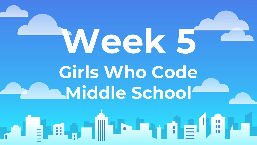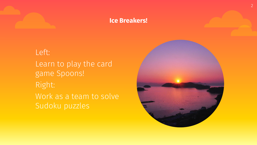#### **Ice Breakers!**

Left: Learn to play the card game Spoons! Right: Work as a team to solve Sudoku puzzles

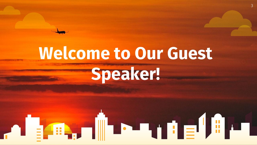#### **Welcome to Our Guest Speaker!**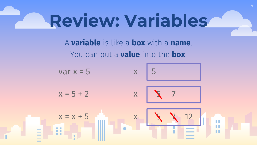#### **Review: Variables**

A **variable** is like a **box** with a **name**. You can put a **value** into the **box**.

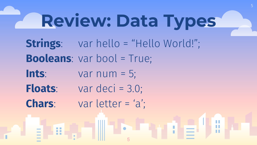## **Review: Data Types**

- **Strings**: var hello = "Hello World!"; **Booleans**: var bool = True;
- **Ints**: var num  $=$  5;
- **Floats**: var deci = 3.0;
- **Chars**: var letter = 'a';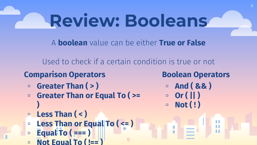A **boolean** value can be either **True or False**

Used to check if a certain condition is true or not

6

#### **Comparison Operators**

- **▫ Greater Than ( > )**
- **▫ Greater Than or Equal To ( >=**
- **) ▫ Less Than ( < )**
- **▫ Less Than or Equal To ( <= )**
- **▫ Equal To ( === )**
- □ **Not Equal To (!==**

#### **Boolean Operators**

6

- **▫ And ( && )**
- **▫ Or ( || ) ▫ Not ( ! )**

П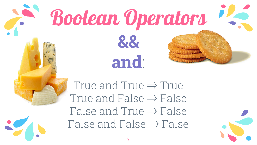## Boolean Operators **&& and**:

True and True  $\Rightarrow$  True True and False  $\Rightarrow$  False False and True  $\Rightarrow$  False False and False  $\Rightarrow$  False

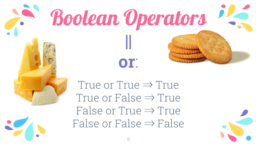

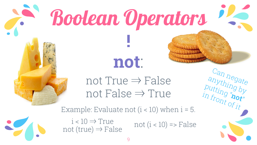

# **Boolean Operators**

**not**:

**!**

not True  $\Rightarrow$  False not False  $\Rightarrow$  True

20

Example: Evaluate not  $(i < 10)$  when  $i = 5$ .

not (true)  $\Rightarrow$  False

 $i < 10 \Rightarrow True$  not  $(i < 10) \Rightarrow False$ 

Can negate

anything by

putting "**not**"

 $\frac{1}{2}$  in front of  $\frac{1}{2}$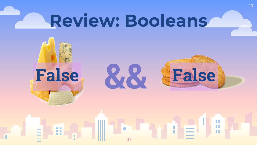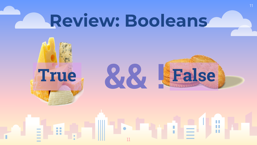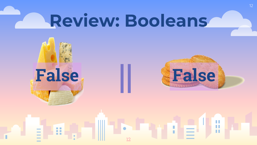12



п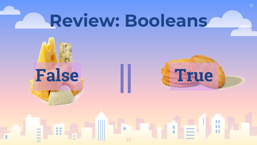13



ш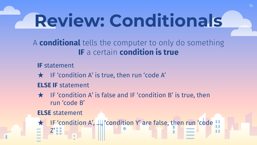### **Review: Conditionals**

A **conditional** tells the computer to only do something **IF** a certain **condition is true**

**IF** statement

★ IF 'condition A' is true, then run 'code A'

**ELSE IF** statement

 $\star$  IF 'condition A' is false and IF 'condition B' is true, then run 'code B'

**ELSE** statement

★ IF 'condition A', …, 'condition Y' are false, then run 'code Z'ш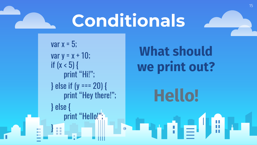#### **Conditionals**

var  $x = 5$ ;  $var y = x + 10$ ; if  $(x < 5)$  { print "Hi!"; } else if (y === 20) { print "Hey there!"; } else { print "Hello!";

}

#### **What should we print out?**

**Hello!**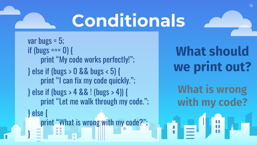#### **Conditionals**

var bugs = 5; if (bugs ===  $0$ ) { print "My code works perfectly!"; } else if (bugs > 0 && bugs < 5) { print "I can fix my code quickly."; } else if (bugs > 4 && ! (bugs > 4)) { print "Let me walk through my code."; } else { print "What is wrong with my code?"; }

**What should we print out?**

**What is wrong with my code?**

 $\mathbf{d} = \mathbf{d} \mathbf{H}$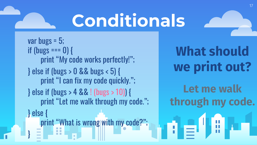#### **Conditionals**

var bugs = 5; if (bugs ===  $0$ ) { print "My code works perfectly!"; } else if (bugs > 0 && bugs < 5) { print "I can fix my code quickly."; } else if (bugs > 4 && ! (bugs > 10)) { print "Let me walk through my code."; } else { print "What is wrong with my code?"; }

**What should we print out?**

**Let me walk through my code.**

 $\mathbf{d} = \mathbf{d} \mathbf{H}$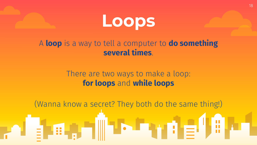

#### A **loop** is a way to tell a computer to **do something several times**.

#### There are two ways to make a loop: **for loops** and **while loops**

(Wanna know a secret? They both do the same thing!)

**通信**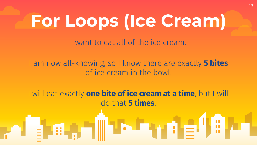#### **For Loops (Ice Cream)**

I want to eat all of the ice cream.

I am now all-knowing, so I know there are exactly **5 bites** of ice cream in the bowl.

I will eat exactly **one bite of ice cream at a time**, but I will do that **5 times**.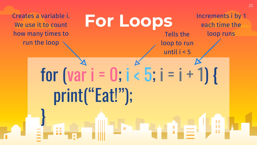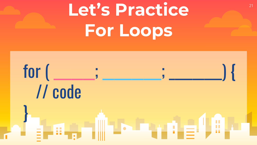### Let's Practice **Canadia For Loops**

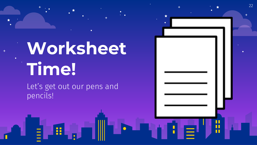#### **Worksheet Time!**

22

п  $\blacksquare$ 

ПT

Let's get out our pens and pencils!

H